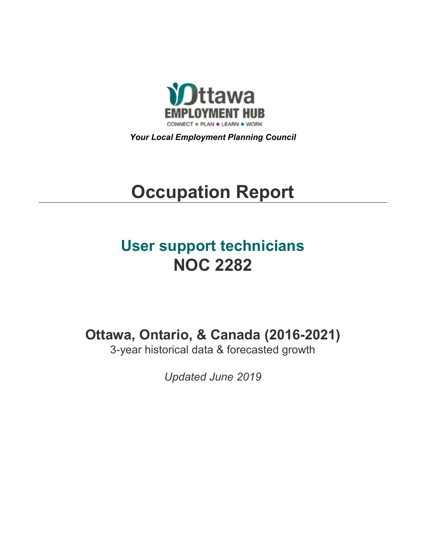

*Your Local Employment Planning Council*

# **Occupation Report**

# **User support technicians NOC 2282**

**Ottawa, Ontario, & Canada (2016-2021)**

3-year historical data & forecasted growth

*Updated June 2019*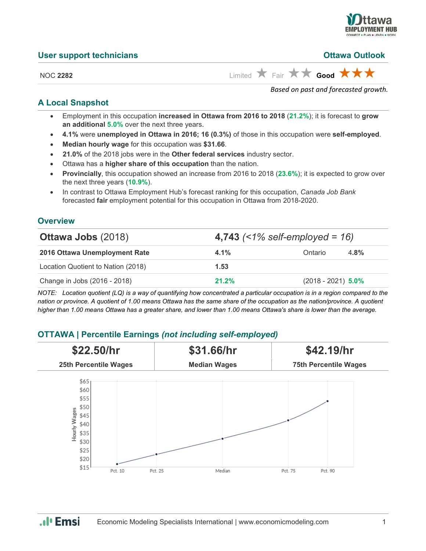

**Ottawa Outlook** 

| <b>User support technicians</b> |  |
|---------------------------------|--|
|---------------------------------|--|

NOC 2282 Limited **K** Fair **x Good x x f** 

*Based on past and forecasted growth.*

#### **A Local Snapshot**

- Employment in this occupation **increased in Ottawa from 2016 to 2018** (**21.2%**); it is forecast to **grow an additional 5.0%** over the next three years.
- **4.1%** were **unemployed in Ottawa in 2016; 16 (0.3%)** of those in this occupation were **self-employed**.
- **Median hourly wage** for this occupation was **\$31.66**.
- **21.0%** of the 2018 jobs were in the **Other federal services** industry sector.
- Ottawa has a **higher share of this occupation** than the nation.
- **Provincially**, this occupation showed an increase from 2016 to 2018 (**23.6%**); it is expected to grow over the next three years (**10.9%**).
- In contrast to Ottawa Employment Hub's forecast ranking for this occupation, *Canada Job Bank*  forecasted **fair** employment potential for this occupation in Ottawa from 2018-2020.

#### **Overview**

| <b>Ottawa Jobs (2018)</b>          | 4,743 $($ < 1% self-employed = 16) |                      |         |
|------------------------------------|------------------------------------|----------------------|---------|
| 2016 Ottawa Unemployment Rate      | $4.1\%$                            | Ontario              | $4.8\%$ |
| Location Quotient to Nation (2018) | 1.53                               |                      |         |
| Change in Jobs (2016 - 2018)       | 21.2%                              | $(2018 - 2021)$ 5.0% |         |

*NOTE: Location quotient (LQ) is a way of quantifying how concentrated a particular occupation is in a region compared to the nation or province. A quotient of 1.00 means Ottawa has the same share of the occupation as the nation/province. A quotient higher than 1.00 means Ottawa has a greater share, and lower than 1.00 means Ottawa's share is lower than the average.*

### **OTTAWA | Percentile Earnings** *(not including self-employed)*



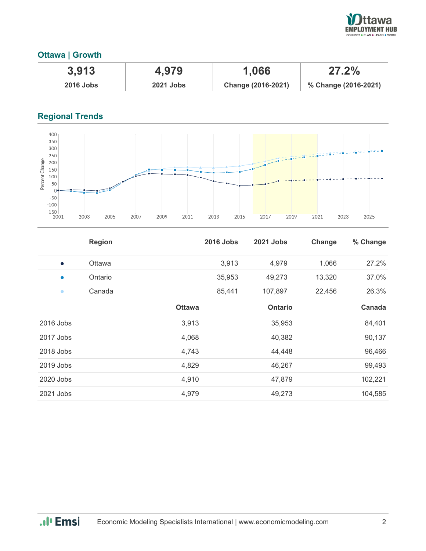

#### **Ottawa | Growth**

| 3,913       | 4,979            | 1,066              | 27.2%                |
|-------------|------------------|--------------------|----------------------|
| $2016$ Jobs | <b>2021 Jobs</b> | Change (2016-2021) | % Change (2016-2021) |

## **Regional Trends**



|             | <b>Region</b> |               | <b>2016 Jobs</b> | 2021 Jobs      | Change | % Change |
|-------------|---------------|---------------|------------------|----------------|--------|----------|
| $\bullet$   | Ottawa        |               | 3,913            | 4,979          | 1,066  | 27.2%    |
| $\bullet$   | Ontario       |               | 35,953           | 49,273         | 13,320 | 37.0%    |
| $\bullet$   | Canada        |               | 85,441           | 107,897        | 22,456 | 26.3%    |
|             |               | <b>Ottawa</b> |                  | <b>Ontario</b> |        | Canada   |
| 2016 Jobs   |               | 3,913         |                  | 35,953         |        | 84,401   |
| 2017 Jobs   |               | 4,068         |                  | 40,382         |        | 90,137   |
| 2018 Jobs   |               | 4,743         |                  | 44,448         |        | 96,466   |
| $2019$ Jobs |               | 4,829         |                  | 46,267         |        | 99,493   |
| 2020 Jobs   |               | 4,910         |                  | 47,879         |        | 102,221  |
| 2021 Jobs   |               | 4,979         |                  | 49,273         |        | 104,585  |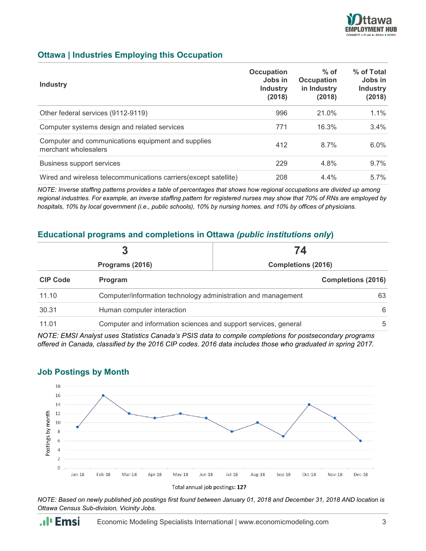

#### **Ottawa | Industries Employing this Occupation**

| <b>Industry</b>                                                            | Occupation<br>Jobs in<br><b>Industry</b><br>(2018) | $%$ of<br><b>Occupation</b><br>in Industry<br>(2018) | % of Total<br>Jobs in<br><b>Industry</b><br>(2018) |
|----------------------------------------------------------------------------|----------------------------------------------------|------------------------------------------------------|----------------------------------------------------|
| Other federal services (9112-9119)                                         | 996                                                | 21.0%                                                | $1.1\%$                                            |
| Computer systems design and related services                               | 771                                                | 16.3%                                                | $3.4\%$                                            |
| Computer and communications equipment and supplies<br>merchant wholesalers | 412                                                | 8.7%                                                 | $6.0\%$                                            |
| <b>Business support services</b>                                           | 229                                                | 4.8%                                                 | $9.7\%$                                            |
| Wired and wireless telecommunications carriers (except satellite)          | 208                                                | 4.4%                                                 | $5.7\%$                                            |

*NOTE: Inverse staffing patterns provides a table of percentages that shows how regional occupations are divided up among regional industries. For example, an inverse staffing pattern for registered nurses may show that 70% of RNs are employed by hospitals, 10% by local government (i.e., public schools), 10% by nursing homes, and 10% by offices of physicians.*

#### **Educational programs and completions in Ottawa** *(public institutions only***)**

| Programs (2016) |                                                                 | 74<br><b>Completions (2016)</b> |    |
|-----------------|-----------------------------------------------------------------|---------------------------------|----|
|                 |                                                                 |                                 |    |
| 11.10           | Computer/information technology administration and management   |                                 | 63 |
| 30.31           | Human computer interaction                                      |                                 | 6  |
| 11.01           | Computer and information sciences and support services, general |                                 | 5  |

*NOTE: EMSI Analyst uses Statistics Canada's PSIS data to compile completions for postsecondary programs offered in Canada, classified by the 2016 CIP codes. 2016 data includes those who graduated in spring 2017.*



#### **Job Postings by Month**

*NOTE: Based on newly published job postings first found between January 01, 2018 and December 31, 2018 AND location is Ottawa Census Sub-division, Vicinity Jobs.*